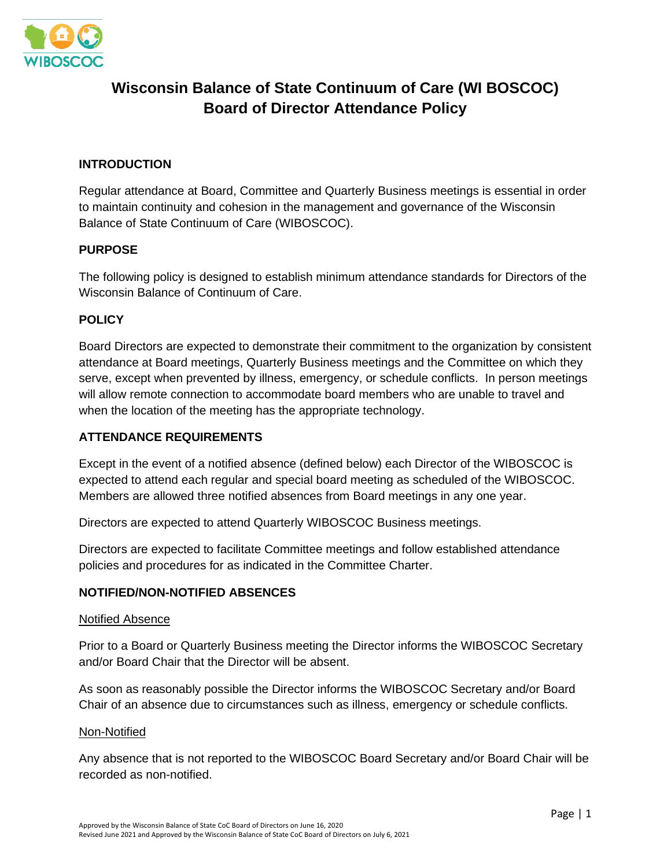

# **Wisconsin Balance of State Continuum of Care (WI BOSCOC) Board of Director Attendance Policy**

## **INTRODUCTION**

Regular attendance at Board, Committee and Quarterly Business meetings is essential in order to maintain continuity and cohesion in the management and governance of the Wisconsin Balance of State Continuum of Care (WIBOSCOC).

## **PURPOSE**

The following policy is designed to establish minimum attendance standards for Directors of the Wisconsin Balance of Continuum of Care.

## **POLICY**

Board Directors are expected to demonstrate their commitment to the organization by consistent attendance at Board meetings, Quarterly Business meetings and the Committee on which they serve, except when prevented by illness, emergency, or schedule conflicts. In person meetings will allow remote connection to accommodate board members who are unable to travel and when the location of the meeting has the appropriate technology.

## **ATTENDANCE REQUIREMENTS**

Except in the event of a notified absence (defined below) each Director of the WIBOSCOC is expected to attend each regular and special board meeting as scheduled of the WIBOSCOC. Members are allowed three notified absences from Board meetings in any one year.

Directors are expected to attend Quarterly WIBOSCOC Business meetings.

Directors are expected to facilitate Committee meetings and follow established attendance policies and procedures for as indicated in the Committee Charter.

## **NOTIFIED/NON-NOTIFIED ABSENCES**

#### Notified Absence

Prior to a Board or Quarterly Business meeting the Director informs the WIBOSCOC Secretary and/or Board Chair that the Director will be absent.

As soon as reasonably possible the Director informs the WIBOSCOC Secretary and/or Board Chair of an absence due to circumstances such as illness, emergency or schedule conflicts.

#### Non-Notified

Any absence that is not reported to the WIBOSCOC Board Secretary and/or Board Chair will be recorded as non-notified.